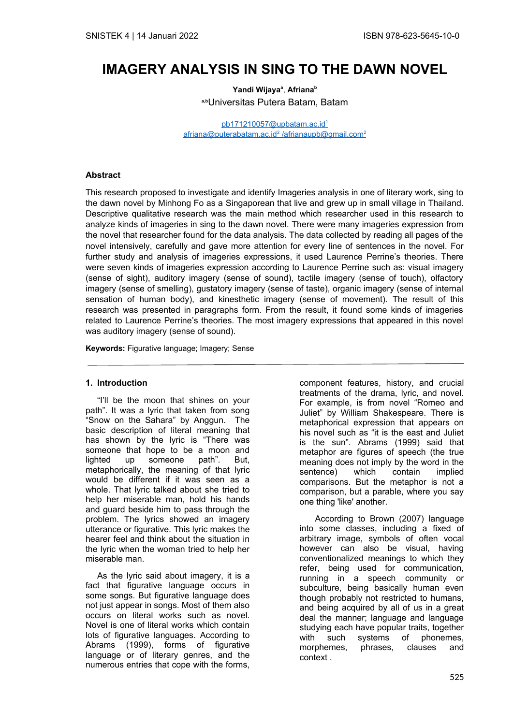# **IMAGERY ANALYSIS IN SING TO THE DAWN NOVEL**

**Yandi Wijaya<sup>a</sup>** , **Afriana<sup>b</sup> a,b**Universitas Putera Batam, Batam

pb171210057@upbatam.ac.id<sup>1</sup> afriana@puterabatam.ac.id<sup>2</sup>/afrianaupb@gmail.com<sup>2</sup>

#### **Abstract**

This research proposed to investigate and identify Imageries analysis in one of literary work, sing to the dawn novel by Minhong Fo as a Singaporean that live and grew up in small village in Thailand. Descriptive qualitative research was the main method which researcher used in this research to analyze kinds of imageries in sing to the dawn novel. There were many imageries expression from the novel that researcher found for the data analysis. The data collected by reading all pages of the novel intensively, carefully and gave more attention for every line of sentences in the novel. For further study and analysis of imageries expressions, it used Laurence Perrine's theories. There were seven kinds of imageries expression according to Laurence Perrine such as: visual imagery (sense of sight), auditory imagery (sense of sound), tactile imagery (sense of touch), olfactory imagery (sense of smelling), gustatory imagery (sense of taste), organic imagery (sense of internal sensation of human body), and kinesthetic imagery (sense of movement). The result of this research was presented in paragraphs form. From the result, it found some kinds of imageries related to Laurence Perrine's theories. The most imagery expressions that appeared in this novel was auditory imagery (sense of sound).

**Keywords:** Figurative language; Imagery; Sense

#### **1. Introduction**

"I'll be the moon that shines on your path". It was a lyric that taken from song "Snow on the Sahara" by Anggun. The basic description of literal meaning that has shown by the lyric is "There was someone that hope to be a moon and<br>lighted up someone path". But, lighted up someone path". But, metaphorically, the meaning of that lyric would be different if it was seen as a whole. That lyric talked about she tried to help her miserable man, hold his hands and guard beside him to pass through the problem. The lyrics showed an imagery utterance or figurative. This lyric makes the hearer feel and think about the situation in the lyric when the woman tried to help her miserable man.

As the lyric said about imagery, it is a fact that figurative language occurs in some songs. But figurative language does not just appear in songs. Most of them also occurs on literal works such as novel. Novel is one of literal works which contain lots of figurative languages. According to Abrams (1999), forms of figurative language or of literary genres, and the numerous entries that cope with the forms,

component features, history, and crucial treatments of the drama, lyric, and novel. For example, is from novel "Romeo and Juliet" by William Shakespeare. There is metaphorical expression that appears on his novel such as "it is the east and Juliet is the sun". Abrams (1999) said that metaphor are figures of speech (the true meaning does not imply by the word in the sentence) which contain implied comparisons. But the metaphor is not a comparison, but a parable, where you say one thing 'like' another.

According to Brown (2007) language into some classes, including a fixed of arbitrary image, symbols of often vocal however can also be visual, having conventionalized meanings to which they refer, being used for communication, running in a speech community or subculture, being basically human even though probably not restricted to humans, and being acquired by all of us in a great deal the manner; language and language studying each have popular traits, together with such systems of phonemes, morphemes, phrases, clauses and context .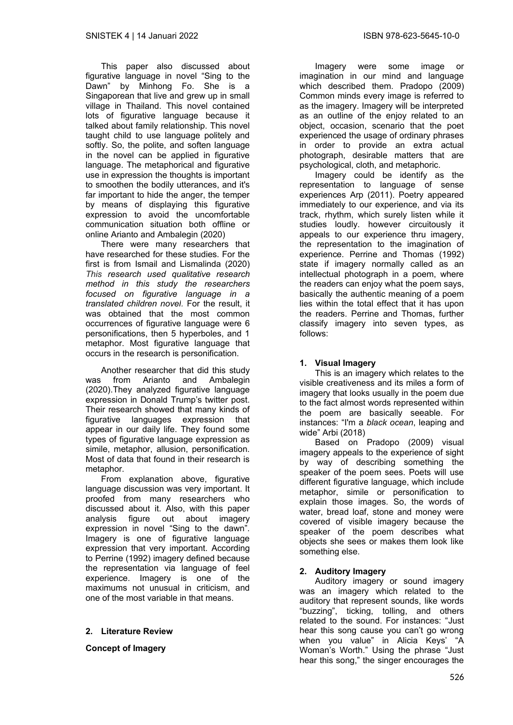This paper also discussed about figurative language in novel "Sing to the Dawn" by Minhong Fo. She is a Singaporean that live and grew up in small village in Thailand. This novel contained lots of figurative language because it talked about family relationship. This novel taught child to use language politely and softly. So, the polite, and soften language in the novel can be applied in figurative language. The metaphorical and figurative use in expression the thoughts is important to smoothen the bodily utterances, and it's far important to hide the anger, the temper by means of displaying this figurative expression to avoid the uncomfortable communication situation both offline or online Arianto and Ambalegin (2020)

There were many researchers that have researched for these studies. For the first is from Ismail and Lismalinda (2020) *This research used qualitative research method in this study the researchers focused on figurative language in a translated children novel.* For the result, it was obtained that the most common occurrences of figurative language were 6 personifications, then 5 hyperboles, and 1 metaphor. Most figurative language that occurs in the research is personification.

Another researcher that did this study was from Arianto and Ambalegin (2020).They analyzed figurative language expression in Donald Trump's twitter post. Their research showed that many kinds of figurative languages expression that appear in our daily life. They found some types of figurative language expression as simile, metaphor, allusion, personification. Most of data that found in their research is metaphor.

From explanation above, figurative language discussion was very important. It proofed from many researchers who discussed about it. Also, with this paper analysis figure out about imagery expression in novel "Sing to the dawn". Imagery is one of figurative language expression that very important. According to Perrine (1992) imagery defined because the representation via language of feel experience. Imagery is one of the maximums not unusual in criticism, and one of the most variable in that means.

## **2. Literature Review**

**Concept of Imagery** 

Imagery were some image or imagination in our mind and language which described them. Pradopo (2009) Common minds every image is referred to as the imagery. Imagery will be interpreted as an outline of the enjoy related to an object, occasion, scenario that the poet experienced the usage of ordinary phrases in order to provide an extra actual photograph, desirable matters that are psychological, cloth, and metaphoric.

Imagery could be identify as the representation to language of sense experiences Arp (2011). Poetry appeared immediately to our experience, and via its track, rhythm, which surely listen while it studies loudly. however circuitously it appeals to our experience thru imagery, the representation to the imagination of experience. Perrine and Thomas (1992) state if imagery normally called as an intellectual photograph in a poem, where the readers can enjoy what the poem says, basically the authentic meaning of a poem lies within the total effect that it has upon the readers. Perrine and Thomas, further classify imagery into seven types, as follows:

## **1. Visual Imagery**

This is an imagery which relates to the visible creativeness and its miles a form of imagery that looks usually in the poem due to the fact almost words represented within the poem are basically seeable. For instances: "I'm a *black ocean*, leaping and wide" Arbi (2018)

Based on Pradopo (2009) visual imagery appeals to the experience of sight by way of describing something the speaker of the poem sees. Poets will use different figurative language, which include metaphor, simile or personification to explain those images. So, the words of water, bread loaf, stone and money were covered of visible imagery because the speaker of the poem describes what objects she sees or makes them look like something else.

# **2. Auditory Imagery**

Auditory imagery or sound imagery was an imagery which related to the auditory that represent sounds, like words "buzzing", ticking, tolling, and others related to the sound. For instances: "Just hear this song cause you can't go wrong when you value" in Alicia Keys' "A Woman's Worth." Using the phrase "Just hear this song," the singer encourages the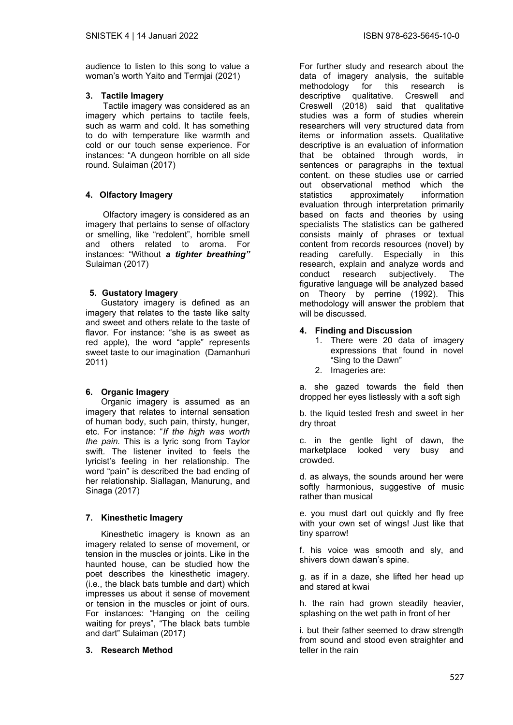audience to listen to this song to value a woman's worth Yaito and Termjai (2021)

## **3. Tactile Imagery**

 Tactile imagery was considered as an imagery which pertains to tactile feels, such as warm and cold. It has something to do with temperature like warmth and cold or our touch sense experience. For instances: "A dungeon horrible on all side round. Sulaiman (2017)

# **4. Olfactory Imagery**

 Olfactory imagery is considered as an imagery that pertains to sense of olfactory or smelling, like "redolent", horrible smell and others related to aroma. For instances: "Without *a tighter breathing"* Sulaiman (2017)

# **5. Gustatory Imagery**

Gustatory imagery is defined as an imagery that relates to the taste like salty and sweet and others relate to the taste of flavor. For instance: "she is as sweet as red apple), the word "apple" represents sweet taste to our imagination (Damanhuri 2011)

# **6. Organic Imagery**

Organic imagery is assumed as an imagery that relates to internal sensation of human body, such pain, thirsty, hunger, etc. For instance: "*If the high was worth the pain.* This is a lyric song from Taylor swift. The listener invited to feels the lyricist's feeling in her relationship. The word "pain" is described the bad ending of her relationship. Siallagan, Manurung, and Sinaga (2017)

# **7. Kinesthetic Imagery**

Kinesthetic imagery is known as an imagery related to sense of movement, or tension in the muscles or joints. Like in the haunted house, can be studied how the poet describes the kinesthetic imagery. (i.e., the black bats tumble and dart) which impresses us about it sense of movement or tension in the muscles or joint of ours. For instances: "Hanging on the ceiling waiting for preys", "The black bats tumble and dart" Sulaiman (2017)

## **3. Research Method**

For further study and research about the data of imagery analysis, the suitable<br>methodology for this research is for this research is descriptive qualitative. Creswell and Creswell (2018) said that qualitative studies was a form of studies wherein researchers will very structured data from items or information assets. Qualitative descriptive is an evaluation of information that be obtained through words, in sentences or paragraphs in the textual content. on these studies use or carried out observational method which the statistics approximately information evaluation through interpretation primarily based on facts and theories by using specialists The statistics can be gathered consists mainly of phrases or textual content from records resources (novel) by reading carefully. Especially in this research, explain and analyze words and conduct research subjectively. The figurative language will be analyzed based on Theory by perrine (1992). This methodology will answer the problem that will be discussed.

## **4. Finding and Discussion**

- 1. There were 20 data of imagery expressions that found in novel "Sing to the Dawn"
- 2. Imageries are:

a. she gazed towards the field then dropped her eyes listlessly with a soft sigh

b. the liquid tested fresh and sweet in her dry throat

c. in the gentle light of dawn, the marketplace looked very busy and crowded.

d. as always, the sounds around her were softly harmonious, suggestive of music rather than musical

e. you must dart out quickly and fly free with your own set of wings! Just like that tiny sparrow!

f. his voice was smooth and sly, and shivers down dawan's spine.

g. as if in a daze, she lifted her head up and stared at kwai

h. the rain had grown steadily heavier, splashing on the wet path in front of her

i. but their father seemed to draw strength from sound and stood even straighter and teller in the rain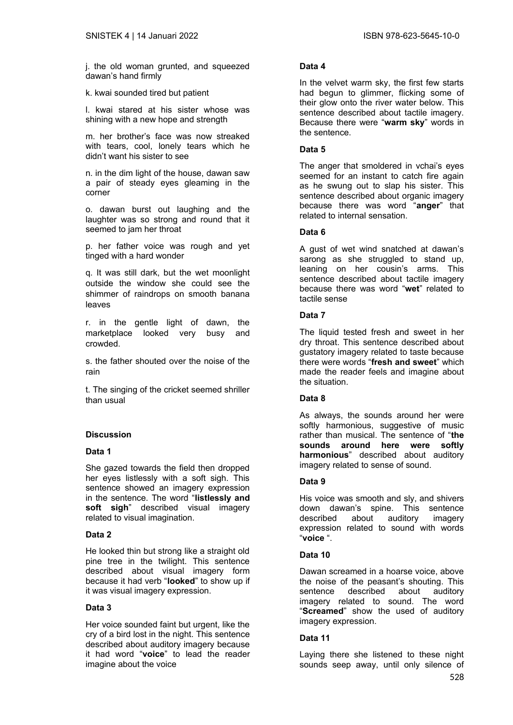j. the old woman grunted, and squeezed dawan's hand firmly

k. kwai sounded tired but patient

l. kwai stared at his sister whose was shining with a new hope and strength

m. her brother's face was now streaked with tears, cool, lonely tears which he didn't want his sister to see

n. in the dim light of the house, dawan saw a pair of steady eyes gleaming in the corner

o. dawan burst out laughing and the laughter was so strong and round that it seemed to jam her throat

p. her father voice was rough and yet tinged with a hard wonder

q. It was still dark, but the wet moonlight outside the window she could see the shimmer of raindrops on smooth banana leaves

r. in the gentle light of dawn, the marketplace looked very busy and crowded.

s. the father shouted over the noise of the rain

t. The singing of the cricket seemed shriller than usual

# **Discussion**

## **Data 1**

She gazed towards the field then dropped her eyes listlessly with a soft sigh. This sentence showed an imagery expression in the sentence. The word "**listlessly and soft sigh**" described visual imagery related to visual imagination.

## **Data 2**

He looked thin but strong like a straight old pine tree in the twilight. This sentence described about visual imagery form because it had verb "**looked**" to show up if it was visual imagery expression.

## **Data 3**

Her voice sounded faint but urgent, like the cry of a bird lost in the night. This sentence described about auditory imagery because it had word "**voice**" to lead the reader imagine about the voice

# **Data 4**

In the velvet warm sky, the first few starts had begun to glimmer, flicking some of their glow onto the river water below. This sentence described about tactile imagery. Because there were "**warm sky**" words in the sentence.

## **Data 5**

The anger that smoldered in vchai's eyes seemed for an instant to catch fire again as he swung out to slap his sister. This sentence described about organic imagery because there was word "**anger**" that related to internal sensation.

## **Data 6**

A gust of wet wind snatched at dawan's sarong as she struggled to stand up, leaning on her cousin's arms. This sentence described about tactile imagery because there was word "**wet**" related to tactile sense

## **Data 7**

The liquid tested fresh and sweet in her dry throat. This sentence described about gustatory imagery related to taste because there were words "**fresh and sweet**" which made the reader feels and imagine about the situation.

# **Data 8**

As always, the sounds around her were softly harmonious, suggestive of music rather than musical. The sentence of "**the sounds around here were softly harmonious**" described about auditory imagery related to sense of sound.

## **Data 9**

His voice was smooth and sly, and shivers down dawan's spine. This sentence described about auditory imagery expression related to sound with words "**voice** ".

## **Data 10**

Dawan screamed in a hoarse voice, above the noise of the peasant's shouting. This sentence described about auditory imagery related to sound. The word "**Screamed**" show the used of auditory imagery expression.

## **Data 11**

Laying there she listened to these night sounds seep away, until only silence of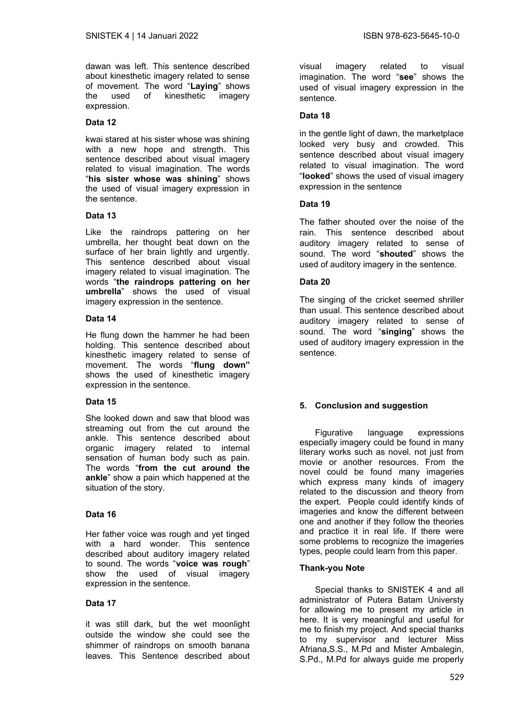dawan was left. This sentence described about kinesthetic imagery related to sense of movement. The word "**Laying**" shows the used of kinesthetic imagery expression.

## **Data 12**

kwai stared at his sister whose was shining with a new hope and strength. This sentence described about visual imagery related to visual imagination. The words "**his sister whose was shining**" shows the used of visual imagery expression in the sentence.

## **Data 13**

Like the raindrops pattering on her umbrella, her thought beat down on the surface of her brain lightly and urgently. This sentence described about visual imagery related to visual imagination. The words "**the raindrops pattering on her umbrella**" shows the used of visual imagery expression in the sentence.

## **Data 14**

He flung down the hammer he had been holding. This sentence described about kinesthetic imagery related to sense of movement. The words "**flung down"** shows the used of kinesthetic imagery expression in the sentence.

## **Data 15**

She looked down and saw that blood was streaming out from the cut around the ankle. This sentence described about organic imagery related to internal sensation of human body such as pain. The words "**from the cut around the ankle**" show a pain which happened at the situation of the story.

# **Data 16**

Her father voice was rough and yet tinged with a hard wonder. This sentence described about auditory imagery related to sound. The words "**voice was rough**" show the used of visual imagery expression in the sentence.

## **Data 17**

it was still dark, but the wet moonlight outside the window she could see the shimmer of raindrops on smooth banana leaves. This Sentence described about

visual imagery related to visual imagination. The word "**see**" shows the used of visual imagery expression in the sentence.

## **Data 18**

in the gentle light of dawn, the marketplace looked very busy and crowded. This sentence described about visual imagery related to visual imagination. The word "**looked**" shows the used of visual imagery expression in the sentence

## **Data 19**

The father shouted over the noise of the rain. This sentence described about auditory imagery related to sense of sound. The word "**shouted**" shows the used of auditory imagery in the sentence.

## **Data 20**

The singing of the cricket seemed shriller than usual. This sentence described about auditory imagery related to sense of sound. The word "**singing**" shows the used of auditory imagery expression in the sentence.

# **5. Conclusion and suggestion**

Figurative language expressions especially imagery could be found in many literary works such as novel. not just from movie or another resources. From the novel could be found many imageries which express many kinds of imagery related to the discussion and theory from the expert. People could identify kinds of imageries and know the different between one and another if they follow the theories and practice it in real life. If there were some problems to recognize the imageries types, people could learn from this paper.

# **Thank-you Note**

Special thanks to SNISTEK 4 and all administrator of Putera Batam Universty for allowing me to present my article in here. It is very meaningful and useful for me to finish my project. And special thanks to my supervisor and lecturer Miss Afriana,S.S., M.Pd and Mister Ambalegin, S.Pd., M.Pd for always guide me properly